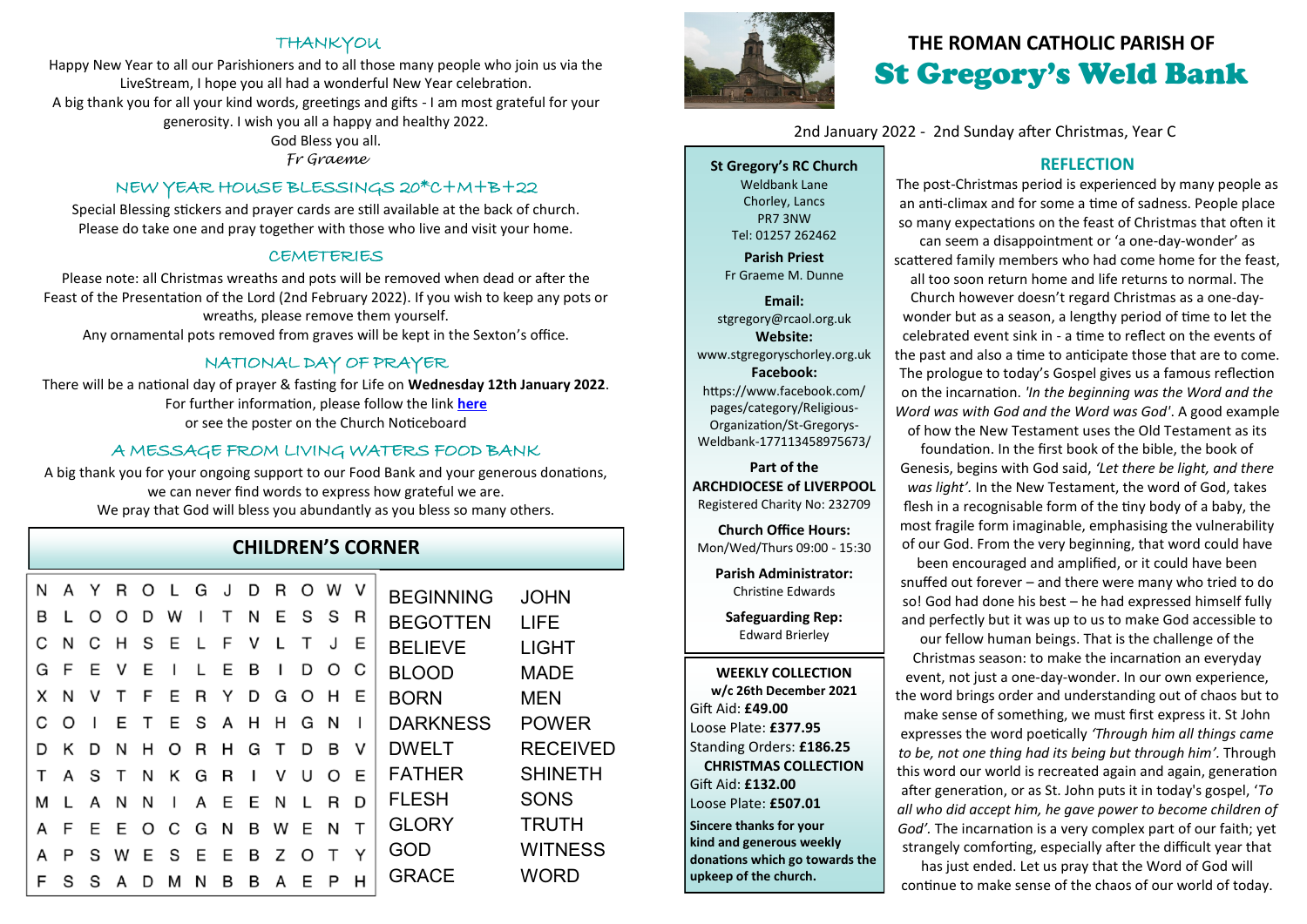## **THANKYOU**

Happy New Year to all our Parishioners and to all those many people who join us via the LiveStream, I hope you all had a wonderful New Year celebration. A big thank you for all your kind words, greetings and gifts - I am most grateful for your generosity. I wish you all a happy and healthy 2022.

#### God Bless you all.

*Fr Graeme* 

### NEW YEAR HOUSE BLESSINGS 20\*C+M+B+22

Special Blessing stickers and prayer cards are still available at the back of church. Please do take one and pray together with those who live and visit your home.

### CEMETERIES

Please note: all Christmas wreaths and pots will be removed when dead or after the Feast of the Presentation of the Lord (2nd February 2022). If you wish to keep any pots or wreaths, please remove them yourself.

Any ornamental pots removed from graves will be kept in the Sexton's office.

## NATIONAL DAY OF PRAYER

There will be a national day of prayer & fasting for Life on **Wednesday 12th January 2022**. For further information, please follow the link **[here](http://www.goodcounselnetwork.com)** or see the poster on the Church Noticeboard

### A MESSAGE FROM LIVING WATERS FOOD BANK

A big thank you for your ongoing support to our Food Bank and your generous donations, we can never find words to express how grateful we are. We pray that God will bless you abundantly as you bless so many others.

## **CHILDREN'S CORNER**

| N |    | Y  | R   | O   | $\mathbf{L}$ | G            | J.  | D        | R            | O            | W            | V | <b>BEGINNING</b> | <b>JOHN</b>     |
|---|----|----|-----|-----|--------------|--------------|-----|----------|--------------|--------------|--------------|---|------------------|-----------------|
| B |    | O  | O   | D   | W            | $\mathbf{I}$ | T   | N        | E            | - S          | - S          | R | <b>BEGOTTEN</b>  | LIFE            |
|   | N  | C  | H   | S E |              | L F          |     | <b>V</b> | L            | т            | J            | E | <b>BELIEVE</b>   | <b>LIGHT</b>    |
| G | -F | Е  | - V | Е   | $\mathbf{I}$ |              | L E | в        | $\mathbf{I}$ | D            | O            | C | <b>BLOOD</b>     | <b>MADE</b>     |
| X | N  | v  | T   | - F | E R Y        |              |     | D        | G O          |              | H            | E | <b>BORN</b>      | <b>MEN</b>      |
|   | O  | -1 | E   |     | T E S A H H  |              |     |          |              | G            | - N          |   | <b>DARKNESS</b>  | <b>POWER</b>    |
| D | ĸ  | D  | N   |     | H O          | -R           | H   | G        | $\mathsf{T}$ | D            | B            | V | <b>DWELT</b>     | <b>RECEIVED</b> |
|   | A  |    | S T | N   | Κ            | G            | R   | L        | v            | U            | O.           | E | <b>FATHER</b>    | <b>SHINETH</b>  |
|   |    | A  | N   | N   | $\mathbf{I}$ | A            | E   | E        | N            | $\mathbf{L}$ | R            | D | <b>FLESH</b>     | <b>SONS</b>     |
|   | F  |    | E E |     | O C          | GN           |     | В        | W            | F.           | N            | т | <b>GLORY</b>     | <b>TRUTH</b>    |
|   | P  | S  | w   | Е   | S            | E            | Ε   | B        | Z            | <sup>n</sup> | $\mathsf{T}$ | Y | GOD              | <b>WITNESS</b>  |
|   | S  | S  | A   | D   | м            | N            | в   | B        | A            |              | P            | н | <b>GRACE</b>     | <b>WORD</b>     |
|   |    |    |     |     |              |              |     |          |              |              |              |   |                  |                 |



## **THE ROMAN CATHOLIC PARISH OF** St Gregory's Weld Bank

2nd January 2022 - 2nd Sunday after Christmas, Year C

**St Gregory's RC Church** Weldbank Lane Chorley, Lancs PR7 3NW Tel: 01257 262462

**Parish Priest** Fr Graeme M. Dunne

**Email:** stgregory@rcaol.org.uk **Website:** www.stgregoryschorley.org.uk **Facebook:** https://www.facebook.com/ pages/category/Religious-Organization/St-Gregorys-Weldbank-177113458975673/

**Part of the ARCHDIOCESE of LIVERPOOL**  Registered Charity No: 232709

**Church Office Hours:** Mon/Wed/Thurs 09:00 - 15:30

**Parish Administrator:** Christine Edwards

**Safeguarding Rep:** Edward Brierley

**WEEKLY COLLECTION w/c 26th December 2021** Gift Aid: **£49.00** Loose Plate: **£377.95** Standing Orders: **£186.25 CHRISTMAS COLLECTION** Gift Aid: **£132.00** Loose Plate: **£507.01 Sincere thanks for your kind and generous weekly** 

# **donations which go towards the upkeep of the church.**

### **REFLECTION**

The post-Christmas period is experienced by many people as an anti-climax and for some a time of sadness. People place so many expectations on the feast of Christmas that often it can seem a disappointment or 'a one-day-wonder' as scattered family members who had come home for the feast, all too soon return home and life returns to normal. The Church however doesn't regard Christmas as a one-daywonder but as a season, a lengthy period of time to let the celebrated event sink in - a time to reflect on the events of the past and also a time to anticipate those that are to come. The prologue to today's Gospel gives us a famous reflection on the incarnation. *'In the beginning was the Word and the Word was with God and the Word was God'*. A good example of how the New Testament uses the Old Testament as its

foundation. In the first book of the bible, the book of Genesis, begins with God said, *'Let there be light, and there was light'.* In the New Testament, the word of God, takes flesh in a recognisable form of the tiny body of a baby, the most fragile form imaginable, emphasising the vulnerability of our God. From the very beginning, that word could have

been encouraged and amplified, or it could have been snuffed out forever – and there were many who tried to do so! God had done his best – he had expressed himself fully and perfectly but it was up to us to make God accessible to

our fellow human beings. That is the challenge of the Christmas season: to make the incarnation an everyday event, not just a one-day-wonder. In our own experience, the word brings order and understanding out of chaos but to make sense of something, we must first express it. St John expresses the word poetically *'Through him all things came to be, not one thing had its being but through him'.* Through this word our world is recreated again and again, generation after generation, or as St. John puts it in today's gospel, '*To all who did accept him, he gave power to become children of God'.* The incarnation is a very complex part of our faith; yet strangely comforting, especially after the difficult year that

has just ended. Let us pray that the Word of God will continue to make sense of the chaos of our world of today.